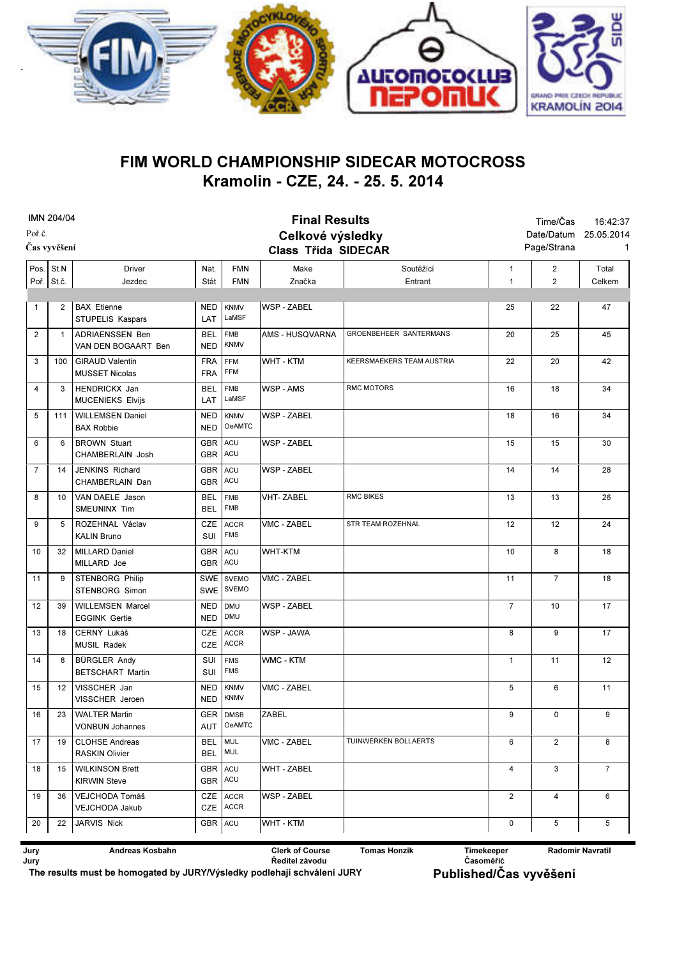

## Kramolin - CZE, 24. - 25. 5. 2014 FIM WORLD CHAMPIONSHIP SIDECAR MOTOCROSS

| <b>IMN 204/04</b>                                                                                                                                                                                                                                             |              |                                                 |                          | <b>Final Results</b>         |                    |                           |                              | Time/Čas                         |                 |  |
|---------------------------------------------------------------------------------------------------------------------------------------------------------------------------------------------------------------------------------------------------------------|--------------|-------------------------------------------------|--------------------------|------------------------------|--------------------|---------------------------|------------------------------|----------------------------------|-----------------|--|
| Poř.č.<br>Čas vyvěšení                                                                                                                                                                                                                                        |              |                                                 |                          |                              | Celkové výsledky   |                           |                              | Date/Datum<br>Page/Strana        |                 |  |
| $Pos.$ St.N                                                                                                                                                                                                                                                   |              |                                                 |                          | <b>Class Třída SIDECAR</b>   |                    |                           |                              |                                  |                 |  |
|                                                                                                                                                                                                                                                               | Poř. St.č.   | <b>Driver</b><br>Jezdec                         | Nat.<br>Stát             | <b>FMN</b><br><b>FMN</b>     | Make<br>Značka     | Soutěžící<br>Entrant      | $\mathbf{1}$<br>$\mathbf{1}$ | $\overline{2}$<br>$\overline{2}$ | Total<br>Celkem |  |
|                                                                                                                                                                                                                                                               |              |                                                 |                          |                              |                    |                           |                              |                                  |                 |  |
| $\mathbf{1}$                                                                                                                                                                                                                                                  | 2            | <b>BAX</b> Etienne<br>STUPELIS Kaspars          | <b>NED</b><br><b>LAT</b> | <b>KNMV</b><br>LaMSF         | <b>WSP - ZABEL</b> |                           | 25                           | 22                               | 47              |  |
| $\overline{2}$                                                                                                                                                                                                                                                | $\mathbf{1}$ | <b>ADRIAENSSEN Ben</b><br>VAN DEN BOGAART Ben   | <b>BEL</b><br><b>NED</b> | <b>FMB</b><br><b>KNMV</b>    | AMS - HUSQVARNA    | GROENBEHEER SANTERMANS    | 20                           | 25                               | 45              |  |
| 3                                                                                                                                                                                                                                                             | 100          | <b>GIRAUD Valentin</b><br><b>MUSSET Nicolas</b> | <b>FRA</b><br><b>FRA</b> | <b>FFM</b><br><b>FFM</b>     | WHT - KTM          | KEERSMAEKERS TEAM AUSTRIA | 22                           | 20                               | 42              |  |
| 4                                                                                                                                                                                                                                                             | 3            | HENDRICKX Jan<br><b>MUCENIEKS Elvijs</b>        | <b>BEL</b><br>LAT        | <b>FMB</b><br>LaMSF          | WSP - AMS          | RMC MOTORS                | 16                           | 18                               | 34              |  |
| 5                                                                                                                                                                                                                                                             | 111          | <b>WILLEMSEN Daniel</b><br><b>BAX Robbie</b>    | <b>NED</b><br><b>NED</b> | <b>KNMV</b><br><b>OeAMTC</b> | <b>WSP - ZABEL</b> |                           | 18                           | 16                               | 34              |  |
| 6                                                                                                                                                                                                                                                             | 6            | <b>BROWN Stuart</b><br>CHAMBERLAIN Josh         | <b>GBR</b><br><b>GBR</b> | ACU<br>ACU                   | <b>WSP - ZABEL</b> |                           | 15                           | 15                               | 30              |  |
| $\overline{7}$                                                                                                                                                                                                                                                | 14           | <b>JENKINS Richard</b><br>CHAMBERLAIN Dan       | <b>GBR</b><br><b>GBR</b> | ACU<br>ACU                   | <b>WSP - ZABEL</b> |                           | 14                           | 14                               | 28              |  |
| 8                                                                                                                                                                                                                                                             | 10           | VAN DAELE Jason<br>SMEUNINX Tim                 | <b>BEL</b><br><b>BEL</b> | <b>FMB</b><br><b>FMB</b>     | <b>VHT-ZABEL</b>   | <b>RMC BIKES</b>          | 13                           | 13                               | 26              |  |
| 9                                                                                                                                                                                                                                                             | 5            | ROZEHNAL Václav<br><b>KALIN Bruno</b>           | <b>CZE</b><br>SUI        | ACCR<br><b>FMS</b>           | VMC - ZABEL        | <b>STR TEAM ROZEHNAL</b>  | 12                           | 12                               | 24              |  |
| 10                                                                                                                                                                                                                                                            | 32           | <b>MILLARD Daniel</b><br>MILLARD Joe            | <b>GBR</b><br><b>GBR</b> | ACU<br>ACU                   | <b>WHT-KTM</b>     |                           | 10                           | 8                                | 18              |  |
| 11                                                                                                                                                                                                                                                            | 9            | <b>STENBORG Philip</b><br>STENBORG Simon        | <b>SWE</b><br><b>SWE</b> | <b>SVEMO</b><br><b>SVEMO</b> | VMC - ZABEL        |                           | 11                           | $\overline{7}$                   | 18              |  |
| 12                                                                                                                                                                                                                                                            | 39           | <b>WILLEMSEN Marcel</b><br><b>EGGINK Gertie</b> | <b>NED</b><br><b>NED</b> | <b>DMU</b><br><b>DMU</b>     | <b>WSP - ZABEL</b> |                           | $\overline{7}$               | 10                               | 17              |  |
| 13                                                                                                                                                                                                                                                            | 18           | CERNÝ Lukáš<br>MUSIL Radek                      | CZE<br>CZE               | <b>ACCR</b><br><b>ACCR</b>   | WSP - JAWA         |                           | 8                            | 9                                | 17              |  |
| 14                                                                                                                                                                                                                                                            | 8            | BÜRGLER Andy<br><b>BETSCHART Martin</b>         | SUI<br>SUI               | <b>FMS</b><br><b>FMS</b>     | WMC - KTM          |                           | $\mathbf{1}$                 | 11                               | 12              |  |
| 15                                                                                                                                                                                                                                                            | 12           | VISSCHER Jan<br>VISSCHER Jeroen                 | <b>NED</b><br><b>NED</b> | <b>KNMV</b><br><b>KNMV</b>   | VMC - ZABEL        |                           | 5                            | 6                                | 11              |  |
| 16                                                                                                                                                                                                                                                            | 23           | <b>WALTER Martin</b><br><b>VONBUN Johannes</b>  | AUT                      | <b>GER DMSB</b><br>OeAMTC    | <b>ZABEL</b>       |                           | 9                            | 0                                | 9               |  |
| 17                                                                                                                                                                                                                                                            | 19           | <b>CLOHSE Andreas</b><br><b>RASKIN Olivier</b>  | <b>BEL</b><br><b>BEL</b> | <b>MUL</b><br><b>MUL</b>     | VMC - ZABEL        | TUINWERKEN BOLLAERTS      | 6                            | $\overline{2}$                   | 8               |  |
| 18                                                                                                                                                                                                                                                            | 15           | <b>WILKINSON Brett</b><br><b>KIRWIN Steve</b>   | <b>GBR</b><br><b>GBR</b> | <b>ACU</b><br>  ACU          | <b>WHT - ZABEL</b> |                           | 4                            | 3                                | $\overline{7}$  |  |
| 19                                                                                                                                                                                                                                                            | 36           | VEJCHODA Tomáš<br>VEJCHODA Jakub                | CZE<br>CZE               | <b>ACCR</b><br>ACCR          | <b>WSP - ZABEL</b> |                           | $\overline{2}$               | $\overline{4}$                   | 6               |  |
| 20                                                                                                                                                                                                                                                            | 22           | <b>JARVIS Nick</b>                              | GBR ACU                  |                              | WHT - KTM          |                           | 0                            | 5                                | 5               |  |
| Andreas Kosbahn<br><b>Clerk of Course</b><br><b>Tomas Honzik</b><br>Timekeeper<br><b>Radomir Navratil</b><br>Jury<br>Časoměřič<br>Ředitel závodu<br>Jury<br>The results must be homogated by JURY/Výsledky podlehají schválení JURY<br>Published/Čas vyvěšení |              |                                                 |                          |                              |                    |                           |                              |                                  |                 |  |